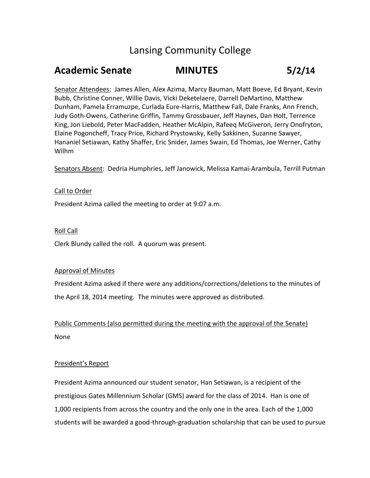# Lansing Community College

# **Academic Senate MINUTES 5/2/14**

Senator Attendees: James Allen, Alex Azima, Marcy Bauman, Matt Boeve, Ed Bryant, Kevin Bubb, Christine Conner, Willie Davis, Vicki Deketelaere, Darrell DeMartino, Matthew Dunham, Pamela Erramuzpe, Curlada Eure-Harris, Matthew Fall, Dale Franks, Ann French, Judy Goth-Owens, Catherine Griffin, Tammy Grossbauer, Jeff Haynes, Dan Holt, Terrence King, Jon Liebold, Peter MacFadden, Heather McAlpin, Rafeeq McGiveron, Jerry Onofryton, Elaine Pogoncheff, Tracy Price, Richard Prystowsky, Kelly Sakkinen, Suzanne Sawyer, Hananiel Setiawan, Kathy Shaffer, Eric Snider, James Swain, Ed Thomas, Joe Werner, Cathy Wilhm

Senators Absent: Dedria Humphries, Jeff Janowick, Melissa Kamai-Arambula, Terrill Putman

### Call to Order

President Azima called the meeting to order at 9:07 a.m.

### Roll Call

Clerk Blundy called the roll. A quorum was present.

#### Approval of Minutes

President Azima asked if there were any additions/corrections/deletions to the minutes of the April 18, 2014 meeting. The minutes were approved as distributed.

Public Comments (also permitted during the meeting with the approval of the Senate) None

#### President's Report

President Azima announced our student senator, Han Setiawan, is a recipient of the prestigious Gates Millennium Scholar (GMS) award for the class of 2014. Han is one of 1,000 recipients from across the country and the only one in the area. Each of the 1,000 students will be awarded a good-through-graduation scholarship that can be used to pursue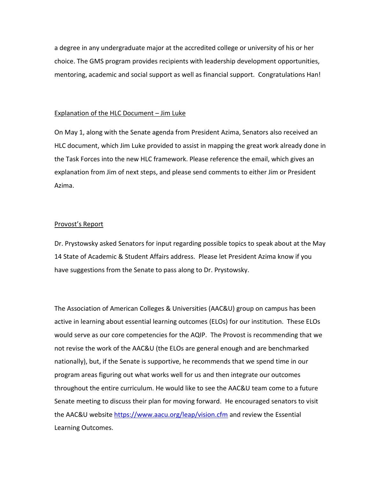a degree in any undergraduate major at the accredited college or university of his or her choice. The GMS program provides recipients with leadership development opportunities, mentoring, academic and social support as well as financial support. Congratulations Han!

### Explanation of the HLC Document – Jim Luke

On May 1, along with the Senate agenda from President Azima, Senators also received an HLC document, which Jim Luke provided to assist in mapping the great work already done in the Task Forces into the new HLC framework. Please reference the email, which gives an explanation from Jim of next steps, and please send comments to either Jim or President Azima.

### Provost's Report

Dr. Prystowsky asked Senators for input regarding possible topics to speak about at the May 14 State of Academic & Student Affairs address. Please let President Azima know if you have suggestions from the Senate to pass along to Dr. Prystowsky.

The Association of American Colleges & Universities (AAC&U) group on campus has been active in learning about essential learning outcomes (ELOs) for our institution. These ELOs would serve as our core competencies for the AQIP. The Provost is recommending that we not revise the work of the AAC&U (the ELOs are general enough and are benchmarked nationally), but, if the Senate is supportive, he recommends that we spend time in our program areas figuring out what works well for us and then integrate our outcomes throughout the entire curriculum. He would like to see the AAC&U team come to a future Senate meeting to discuss their plan for moving forward. He encouraged senators to visit the AAC&U website<https://www.aacu.org/leap/vision.cfm> and review the Essential Learning Outcomes.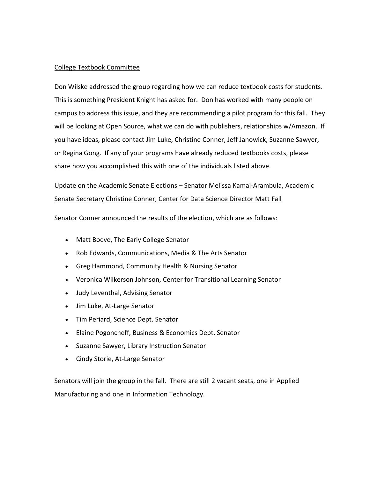## College Textbook Committee

Don Wilske addressed the group regarding how we can reduce textbook costs for students. This is something President Knight has asked for. Don has worked with many people on campus to address this issue, and they are recommending a pilot program for this fall. They will be looking at Open Source, what we can do with publishers, relationships w/Amazon. If you have ideas, please contact Jim Luke, Christine Conner, Jeff Janowick, Suzanne Sawyer, or Regina Gong. If any of your programs have already reduced textbooks costs, please share how you accomplished this with one of the individuals listed above.

# Update on the Academic Senate Elections – Senator Melissa Kamai-Arambula, Academic Senate Secretary Christine Conner, Center for Data Science Director Matt Fall

Senator Conner announced the results of the election, which are as follows:

- Matt Boeve, The Early College Senator
- Rob Edwards, Communications, Media & The Arts Senator
- Greg Hammond, Community Health & Nursing Senator
- Veronica Wilkerson Johnson, Center for Transitional Learning Senator
- Judy Leventhal, Advising Senator
- Jim Luke, At-Large Senator
- Tim Periard, Science Dept. Senator
- Elaine Pogoncheff, Business & Economics Dept. Senator
- Suzanne Sawyer, Library Instruction Senator
- Cindy Storie, At-Large Senator

Senators will join the group in the fall. There are still 2 vacant seats, one in Applied Manufacturing and one in Information Technology.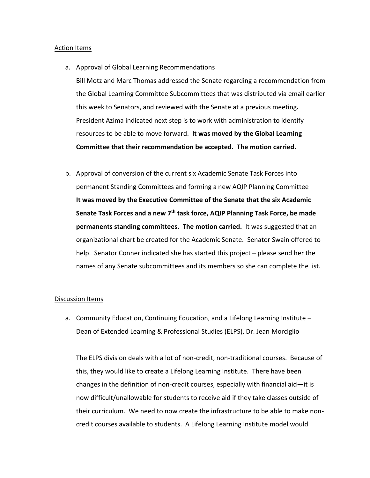#### Action Items

- a. Approval of Global Learning Recommendations Bill Motz and Marc Thomas addressed the Senate regarding a recommendation from the Global Learning Committee Subcommittees that was distributed via email earlier this week to Senators, and reviewed with the Senate at a previous meeting**.**  President Azima indicated next step is to work with administration to identify resources to be able to move forward. **It was moved by the Global Learning Committee that their recommendation be accepted. The motion carried.**
- b. Approval of conversion of the current six Academic Senate Task Forces into permanent Standing Committees and forming a new AQIP Planning Committee **It was moved by the Executive Committee of the Senate that the six Academic Senate Task Forces and a new 7 th task force, AQIP Planning Task Force, be made permanents standing committees. The motion carried.** It was suggested that an organizational chart be created for the Academic Senate. Senator Swain offered to help. Senator Conner indicated she has started this project – please send her the names of any Senate subcommittees and its members so she can complete the list.

#### Discussion Items

a. Community Education, Continuing Education, and a Lifelong Learning Institute – Dean of Extended Learning & Professional Studies (ELPS), Dr. Jean Morciglio

The ELPS division deals with a lot of non-credit, non-traditional courses. Because of this, they would like to create a Lifelong Learning Institute. There have been changes in the definition of non-credit courses, especially with financial aid—it is now difficult/unallowable for students to receive aid if they take classes outside of their curriculum. We need to now create the infrastructure to be able to make noncredit courses available to students. A Lifelong Learning Institute model would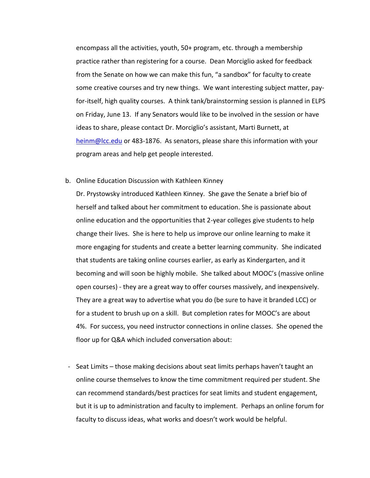encompass all the activities, youth, 50+ program, etc. through a membership practice rather than registering for a course. Dean Morciglio asked for feedback from the Senate on how we can make this fun, "a sandbox" for faculty to create some creative courses and try new things. We want interesting subject matter, payfor-itself, high quality courses. A think tank/brainstorming session is planned in ELPS on Friday, June 13. If any Senators would like to be involved in the session or have ideas to share, please contact Dr. Morciglio's assistant, Marti Burnett, at [heinm@lcc.edu](mailto:heinm@lcc.edu) or 483-1876. As senators, please share this information with your program areas and help get people interested.

#### b. Online Education Discussion with Kathleen Kinney

Dr. Prystowsky introduced Kathleen Kinney. She gave the Senate a brief bio of herself and talked about her commitment to education. She is passionate about online education and the opportunities that 2-year colleges give students to help change their lives. She is here to help us improve our online learning to make it more engaging for students and create a better learning community. She indicated that students are taking online courses earlier, as early as Kindergarten, and it becoming and will soon be highly mobile. She talked about MOOC's (massive online open courses) - they are a great way to offer courses massively, and inexpensively. They are a great way to advertise what you do (be sure to have it branded LCC) or for a student to brush up on a skill. But completion rates for MOOC's are about 4%. For success, you need instructor connections in online classes. She opened the floor up for Q&A which included conversation about:

- Seat Limits – those making decisions about seat limits perhaps haven't taught an online course themselves to know the time commitment required per student. She can recommend standards/best practices for seat limits and student engagement, but it is up to administration and faculty to implement. Perhaps an online forum for faculty to discuss ideas, what works and doesn't work would be helpful.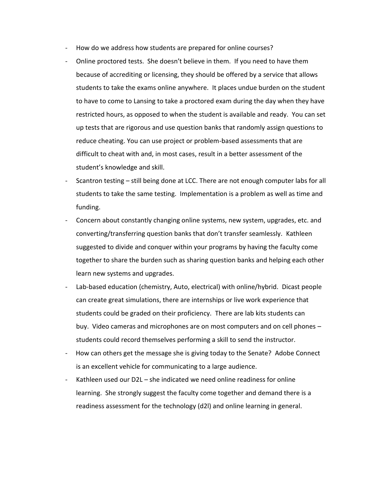- How do we address how students are prepared for online courses?
- Online proctored tests. She doesn't believe in them. If you need to have them because of accrediting or licensing, they should be offered by a service that allows students to take the exams online anywhere. It places undue burden on the student to have to come to Lansing to take a proctored exam during the day when they have restricted hours, as opposed to when the student is available and ready. You can set up tests that are rigorous and use question banks that randomly assign questions to reduce cheating. You can use project or problem-based assessments that are difficult to cheat with and, in most cases, result in a better assessment of the student's knowledge and skill.
- Scantron testing still being done at LCC. There are not enough computer labs for all students to take the same testing. Implementation is a problem as well as time and funding.
- Concern about constantly changing online systems, new system, upgrades, etc. and converting/transferring question banks that don't transfer seamlessly. Kathleen suggested to divide and conquer within your programs by having the faculty come together to share the burden such as sharing question banks and helping each other learn new systems and upgrades.
- Lab-based education (chemistry, Auto, electrical) with online/hybrid. Dicast people can create great simulations, there are internships or live work experience that students could be graded on their proficiency. There are lab kits students can buy. Video cameras and microphones are on most computers and on cell phones – students could record themselves performing a skill to send the instructor.
- How can others get the message she is giving today to the Senate? Adobe Connect is an excellent vehicle for communicating to a large audience.
- Kathleen used our D2L she indicated we need online readiness for online learning. She strongly suggest the faculty come together and demand there is a readiness assessment for the technology (d2l) and online learning in general.